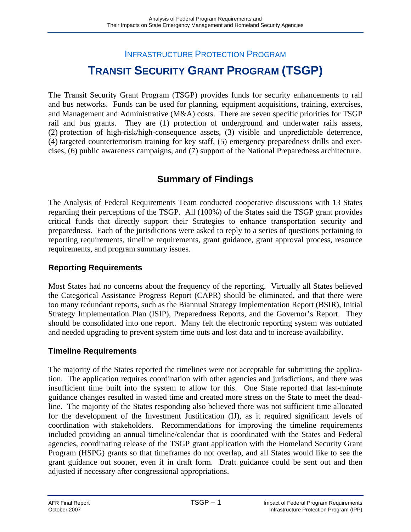# INFRASTRUCTURE PROTECTION PROGRAM **TRANSIT SECURITY GRANT PROGRAM (TSGP)**

The Transit Security Grant Program (TSGP) provides funds for security enhancements to rail and bus networks. Funds can be used for planning, equipment acquisitions, training, exercises, and Management and Administrative (M&A) costs. There are seven specific priorities for TSGP rail and bus grants. They are (1) protection of underground and underwater rails assets, (2) protection of high-risk/high-consequence assets, (3) visible and unpredictable deterrence, (4) targeted counterterrorism training for key staff, (5) emergency preparedness drills and exercises, (6) public awareness campaigns, and (7) support of the National Preparedness architecture.

## **Summary of Findings**

The Analysis of Federal Requirements Team conducted cooperative discussions with 13 States regarding their perceptions of the TSGP. All (100%) of the States said the TSGP grant provides critical funds that directly support their Strategies to enhance transportation security and preparedness. Each of the jurisdictions were asked to reply to a series of questions pertaining to reporting requirements, timeline requirements, grant guidance, grant approval process, resource requirements, and program summary issues.

### **Reporting Requirements**

Most States had no concerns about the frequency of the reporting. Virtually all States believed the Categorical Assistance Progress Report (CAPR) should be eliminated, and that there were too many redundant reports, such as the Biannual Strategy Implementation Report (BSIR), Initial Strategy Implementation Plan (ISIP), Preparedness Reports, and the Governor's Report. They should be consolidated into one report. Many felt the electronic reporting system was outdated and needed upgrading to prevent system time outs and lost data and to increase availability.

### **Timeline Requirements**

The majority of the States reported the timelines were not acceptable for submitting the application. The application requires coordination with other agencies and jurisdictions, and there was insufficient time built into the system to allow for this. One State reported that last-minute guidance changes resulted in wasted time and created more stress on the State to meet the deadline. The majority of the States responding also believed there was not sufficient time allocated for the development of the Investment Justification (IJ), as it required significant levels of coordination with stakeholders. Recommendations for improving the timeline requirements included providing an annual timeline/calendar that is coordinated with the States and Federal agencies, coordinating release of the TSGP grant application with the Homeland Security Grant Program (HSPG) grants so that timeframes do not overlap, and all States would like to see the grant guidance out sooner, even if in draft form. Draft guidance could be sent out and then adjusted if necessary after congressional appropriations.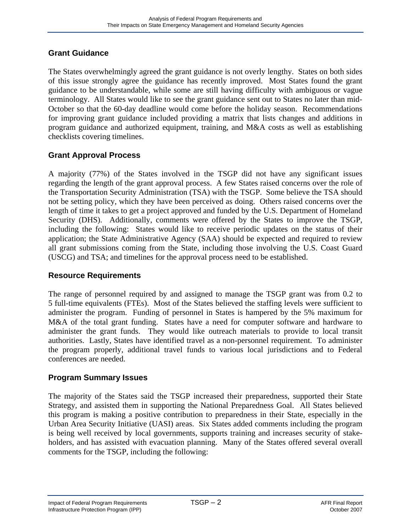### **Grant Guidance**

The States overwhelmingly agreed the grant guidance is not overly lengthy. States on both sides of this issue strongly agree the guidance has recently improved. Most States found the grant guidance to be understandable, while some are still having difficulty with ambiguous or vague terminology. All States would like to see the grant guidance sent out to States no later than mid-October so that the 60-day deadline would come before the holiday season. Recommendations for improving grant guidance included providing a matrix that lists changes and additions in program guidance and authorized equipment, training, and M&A costs as well as establishing checklists covering timelines.

### **Grant Approval Process**

A majority (77%) of the States involved in the TSGP did not have any significant issues regarding the length of the grant approval process. A few States raised concerns over the role of the Transportation Security Administration (TSA) with the TSGP. Some believe the TSA should not be setting policy, which they have been perceived as doing. Others raised concerns over the length of time it takes to get a project approved and funded by the U.S. Department of Homeland Security (DHS). Additionally, comments were offered by the States to improve the TSGP, including the following: States would like to receive periodic updates on the status of their application; the State Administrative Agency (SAA) should be expected and required to review all grant submissions coming from the State, including those involving the U.S. Coast Guard (USCG) and TSA; and timelines for the approval process need to be established.

### **Resource Requirements**

The range of personnel required by and assigned to manage the TSGP grant was from 0.2 to 5 full-time equivalents (FTEs). Most of the States believed the staffing levels were sufficient to administer the program. Funding of personnel in States is hampered by the 5% maximum for M&A of the total grant funding. States have a need for computer software and hardware to administer the grant funds. They would like outreach materials to provide to local transit authorities. Lastly, States have identified travel as a non-personnel requirement. To administer the program properly, additional travel funds to various local jurisdictions and to Federal conferences are needed.

### **Program Summary Issues**

The majority of the States said the TSGP increased their preparedness, supported their State Strategy, and assisted them in supporting the National Preparedness Goal. All States believed this program is making a positive contribution to preparedness in their State, especially in the Urban Area Security Initiative (UASI) areas. Six States added comments including the program is being well received by local governments, supports training and increases security of stakeholders, and has assisted with evacuation planning. Many of the States offered several overall comments for the TSGP, including the following: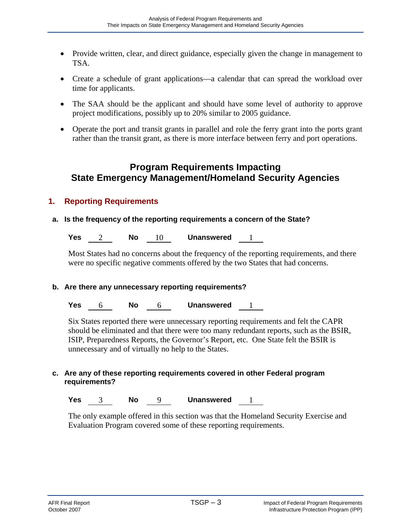- Provide written, clear, and direct guidance, especially given the change in management to TSA.
- Create a schedule of grant applications—a calendar that can spread the workload over time for applicants.
- The SAA should be the applicant and should have some level of authority to approve project modifications, possibly up to 20% similar to 2005 guidance.
- Operate the port and transit grants in parallel and role the ferry grant into the ports grant rather than the transit grant, as there is more interface between ferry and port operations.

## **Program Requirements Impacting State Emergency Management/Homeland Security Agencies**

### **1. Reporting Requirements**

### **a. Is the frequency of the reporting requirements a concern of the State?**

**Yes** 2 **No** 10 **Unanswered** 1

Most States had no concerns about the frequency of the reporting requirements, and there were no specific negative comments offered by the two States that had concerns.

### **b. Are there any unnecessary reporting requirements?**

**Yes** 6 **No** 6 **Unanswered** 1

Six States reported there were unnecessary reporting requirements and felt the CAPR should be eliminated and that there were too many redundant reports, such as the BSIR, ISIP, Preparedness Reports, the Governor's Report, etc. One State felt the BSIR is unnecessary and of virtually no help to the States.

### **c. Are any of these reporting requirements covered in other Federal program requirements?**

**Yes** 3 **No** 9 **Unanswered** 1

The only example offered in this section was that the Homeland Security Exercise and Evaluation Program covered some of these reporting requirements.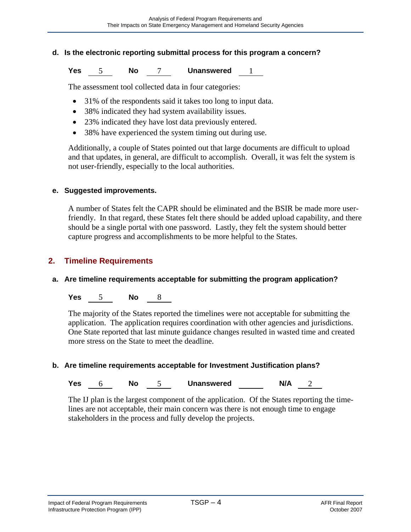### **d. Is the electronic reporting submittal process for this program a concern?**

**Yes** 5 **No** 7 **Unanswered** 1

The assessment tool collected data in four categories:

- 31% of the respondents said it takes too long to input data.
- 38% indicated they had system availability issues.
- 23% indicated they have lost data previously entered.
- 38% have experienced the system timing out during use.

Additionally, a couple of States pointed out that large documents are difficult to upload and that updates, in general, are difficult to accomplish. Overall, it was felt the system is not user-friendly, especially to the local authorities.

#### **e. Suggested improvements.**

A number of States felt the CAPR should be eliminated and the BSIR be made more userfriendly. In that regard, these States felt there should be added upload capability, and there should be a single portal with one password. Lastly, they felt the system should better capture progress and accomplishments to be more helpful to the States.

### **2. Timeline Requirements**

### **a. Are timeline requirements acceptable for submitting the program application?**

**Yes** 5 **No** 8

The majority of the States reported the timelines were not acceptable for submitting the application. The application requires coordination with other agencies and jurisdictions. One State reported that last minute guidance changes resulted in wasted time and created more stress on the State to meet the deadline.

### **b. Are timeline requirements acceptable for Investment Justification plans?**

### **Yes** 6 **No** 5 **Unanswered N/A** 2

The IJ plan is the largest component of the application. Of the States reporting the timelines are not acceptable, their main concern was there is not enough time to engage stakeholders in the process and fully develop the projects.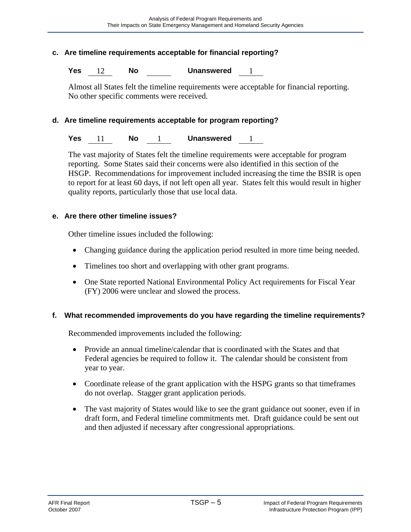### **c. Are timeline requirements acceptable for financial reporting?**

**Yes** 12 **No Unanswered** 1

Almost all States felt the timeline requirements were acceptable for financial reporting. No other specific comments were received.

#### **d. Are timeline requirements acceptable for program reporting?**

**Yes** 11 **No** 1 **Unanswered** 1

The vast majority of States felt the timeline requirements were acceptable for program reporting. Some States said their concerns were also identified in this section of the HSGP. Recommendations for improvement included increasing the time the BSIR is open to report for at least 60 days, if not left open all year. States felt this would result in higher quality reports, particularly those that use local data.

#### **e. Are there other timeline issues?**

Other timeline issues included the following:

- Changing guidance during the application period resulted in more time being needed.
- Timelines too short and overlapping with other grant programs.
- One State reported National Environmental Policy Act requirements for Fiscal Year (FY) 2006 were unclear and slowed the process.

### **f. What recommended improvements do you have regarding the timeline requirements?**

Recommended improvements included the following:

- Provide an annual timeline/calendar that is coordinated with the States and that Federal agencies be required to follow it. The calendar should be consistent from year to year.
- Coordinate release of the grant application with the HSPG grants so that timeframes do not overlap. Stagger grant application periods.
- The vast majority of States would like to see the grant guidance out sooner, even if in draft form, and Federal timeline commitments met. Draft guidance could be sent out and then adjusted if necessary after congressional appropriations.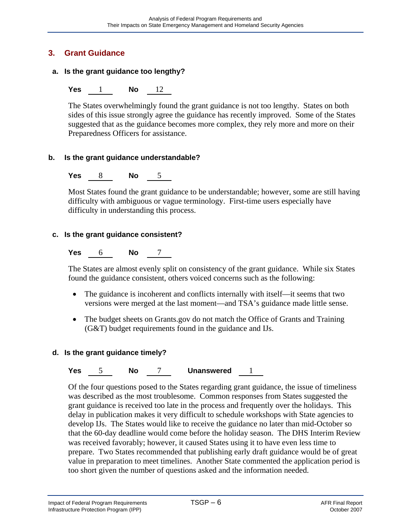### **3. Grant Guidance**

### **a. Is the grant guidance too lengthy?**

### **Yes** 1 **No** 12

The States overwhelmingly found the grant guidance is not too lengthy. States on both sides of this issue strongly agree the guidance has recently improved. Some of the States suggested that as the guidance becomes more complex, they rely more and more on their Preparedness Officers for assistance.

### **b. Is the grant guidance understandable?**

**Yes** 8 **No** 5

Most States found the grant guidance to be understandable; however, some are still having difficulty with ambiguous or vague terminology. First-time users especially have difficulty in understanding this process.

### **c. Is the grant guidance consistent?**

**Yes** 6 **No** 7

The States are almost evenly split on consistency of the grant guidance. While six States found the guidance consistent, others voiced concerns such as the following:

- The guidance is incoherent and conflicts internally with itself—it seems that two versions were merged at the last moment—and TSA's guidance made little sense.
- The budget sheets on Grants.gov do not match the Office of Grants and Training (G&T) budget requirements found in the guidance and IJs.

### **d. Is the grant guidance timely?**

**Yes** 5 **No** 7 **Unanswered** 1

Of the four questions posed to the States regarding grant guidance, the issue of timeliness was described as the most troublesome. Common responses from States suggested the grant guidance is received too late in the process and frequently over the holidays. This delay in publication makes it very difficult to schedule workshops with State agencies to develop IJs. The States would like to receive the guidance no later than mid-October so that the 60-day deadline would come before the holiday season. The DHS Interim Review was received favorably; however, it caused States using it to have even less time to prepare. Two States recommended that publishing early draft guidance would be of great value in preparation to meet timelines. Another State commented the application period is too short given the number of questions asked and the information needed.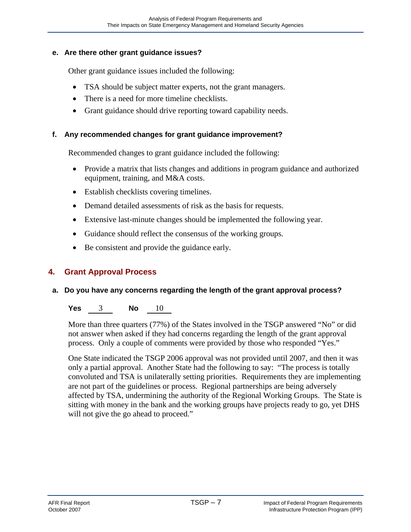### **e. Are there other grant guidance issues?**

Other grant guidance issues included the following:

- TSA should be subject matter experts, not the grant managers.
- There is a need for more timeline checklists.
- Grant guidance should drive reporting toward capability needs.

### **f. Any recommended changes for grant guidance improvement?**

Recommended changes to grant guidance included the following:

- Provide a matrix that lists changes and additions in program guidance and authorized equipment, training, and M&A costs.
- Establish checklists covering timelines.
- Demand detailed assessments of risk as the basis for requests.
- Extensive last-minute changes should be implemented the following year.
- Guidance should reflect the consensus of the working groups.
- Be consistent and provide the guidance early.

### **4. Grant Approval Process**

### **a. Do you have any concerns regarding the length of the grant approval process?**

### **Yes** 3 **No** 10

More than three quarters (77%) of the States involved in the TSGP answered "No" or did not answer when asked if they had concerns regarding the length of the grant approval process. Only a couple of comments were provided by those who responded "Yes."

One State indicated the TSGP 2006 approval was not provided until 2007, and then it was only a partial approval. Another State had the following to say: "The process is totally convoluted and TSA is unilaterally setting priorities. Requirements they are implementing are not part of the guidelines or process. Regional partnerships are being adversely affected by TSA, undermining the authority of the Regional Working Groups. The State is sitting with money in the bank and the working groups have projects ready to go, yet DHS will not give the go ahead to proceed."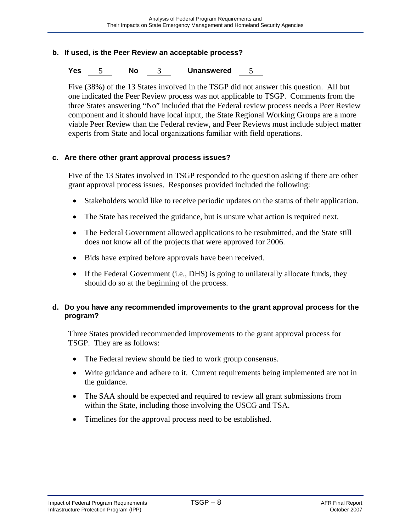#### **b. If used, is the Peer Review an acceptable process?**

#### **Yes** 5 **No** 3 **Unanswered** 5

Five (38%) of the 13 States involved in the TSGP did not answer this question. All but one indicated the Peer Review process was not applicable to TSGP. Comments from the three States answering "No" included that the Federal review process needs a Peer Review component and it should have local input, the State Regional Working Groups are a more viable Peer Review than the Federal review, and Peer Reviews must include subject matter experts from State and local organizations familiar with field operations.

#### **c. Are there other grant approval process issues?**

Five of the 13 States involved in TSGP responded to the question asking if there are other grant approval process issues. Responses provided included the following:

- Stakeholders would like to receive periodic updates on the status of their application.
- The State has received the guidance, but is unsure what action is required next.
- The Federal Government allowed applications to be resubmitted, and the State still does not know all of the projects that were approved for 2006.
- Bids have expired before approvals have been received.
- If the Federal Government (i.e., DHS) is going to unilaterally allocate funds, they should do so at the beginning of the process.

### **d. Do you have any recommended improvements to the grant approval process for the program?**

Three States provided recommended improvements to the grant approval process for TSGP. They are as follows:

- The Federal review should be tied to work group consensus.
- Write guidance and adhere to it. Current requirements being implemented are not in the guidance.
- The SAA should be expected and required to review all grant submissions from within the State, including those involving the USCG and TSA.
- Timelines for the approval process need to be established.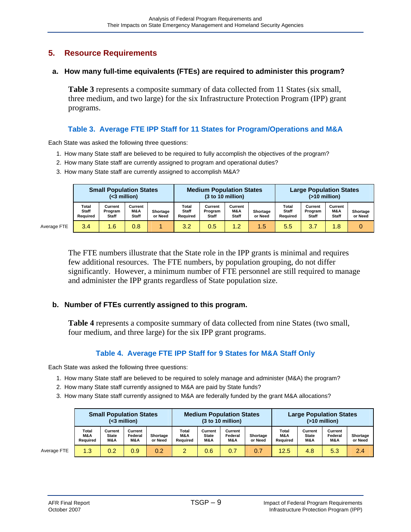### **5. Resource Requirements**

#### **a. How many full-time equivalents (FTEs) are required to administer this program?**

**Table 3** represents a composite summary of data collected from 11 States (six small, three medium, and two large) for the six Infrastructure Protection Program (IPP) grant programs.

### **Table 3. Average FTE IPP Staff for 11 States for Program/Operations and M&A**

Each State was asked the following three questions:

- 1. How many State staff are believed to be required to fully accomplish the objectives of the program?
- 2. How many State staff are currently assigned to program and operational duties?
- 3. How many State staff are currently assigned to accomplish M&A?

|             |                                          | <b>Small Population States</b><br>(<3 million)                                                                              |     |          |                             | <b>Medium Population States</b><br>(3 to 10 million) |                     |                                   | <b>Large Population States</b><br>$($ >10 million $)$ |                                |                     |  |  |  |
|-------------|------------------------------------------|-----------------------------------------------------------------------------------------------------------------------------|-----|----------|-----------------------------|------------------------------------------------------|---------------------|-----------------------------------|-------------------------------------------------------|--------------------------------|---------------------|--|--|--|
|             | <b>Total</b><br><b>Staff</b><br>Reauired | Total<br>Current<br>Current<br><b>Staff</b><br>M&A<br>Shortage<br><b>Program</b><br><b>Staff</b><br>or Need<br><b>Staff</b> |     | Reauired | Current<br>Program<br>Staff | Current<br>M&A<br><b>Staff</b>                       | Shortage<br>or Need | Total<br><b>Staff</b><br>Reauired | Current<br>Program<br><b>Staff</b>                    | Current<br>M&A<br><b>Staff</b> | Shortage<br>or Need |  |  |  |
| Average FTE | 3.4                                      | 1.6                                                                                                                         | 0.8 |          | 3.2                         | 0.5                                                  | 1.2                 | 1.5                               | 5.5                                                   | 3.7                            | 1.8                 |  |  |  |

The FTE numbers illustrate that the State role in the IPP grants is minimal and requires few additional resources. The FTE numbers, by population grouping, do not differ significantly. However, a minimum number of FTE personnel are still required to manage and administer the IPP grants regardless of State population size.

### **b. Number of FTEs currently assigned to this program.**

**Table 4** represents a composite summary of data collected from nine States (two small, four medium, and three large) for the six IPP grant programs.

### **Table 4. Average FTE IPP Staff for 9 States for M&A Staff Only**

Each State was asked the following three questions:

- 1. How many State staff are believed to be required to solely manage and administer (M&A) the program?
- 2. How many State staff currently assigned to M&A are paid by State funds?
- 3. How many State staff currently assigned to M&A are federally funded by the grant M&A allocations?

|             | <b>Small Population States</b><br>$(3 \text{ million})$ |                         |                           |                     |                          |                                | <b>Medium Population States</b><br>(3 to 10 million) |                     | <b>Large Population States</b><br>$($ >10 million $)$      |     |                           |                     |  |  |
|-------------|---------------------------------------------------------|-------------------------|---------------------------|---------------------|--------------------------|--------------------------------|------------------------------------------------------|---------------------|------------------------------------------------------------|-----|---------------------------|---------------------|--|--|
|             | Total<br>M&A<br>Reauired                                | Current<br>State<br>M&A | Current<br>Federal<br>M&A | Shortage<br>or Need | Total<br>M&A<br>Reauired | Current<br><b>State</b><br>M&A | Current<br>Federal<br><b>M&amp;A</b>                 | Shortage<br>or Need | Total<br>Current<br>M&A<br><b>State</b><br>Reauired<br>M&A |     | Current<br>Federal<br>M&A | Shortage<br>or Need |  |  |
| Average FTE | 1.3                                                     | 0.2                     | 0.9                       | 0.2                 | $\overline{2}$           | 0.6                            | 0.7                                                  | 0.7                 | 12.5                                                       | 4.8 | 5.3                       | 2.4                 |  |  |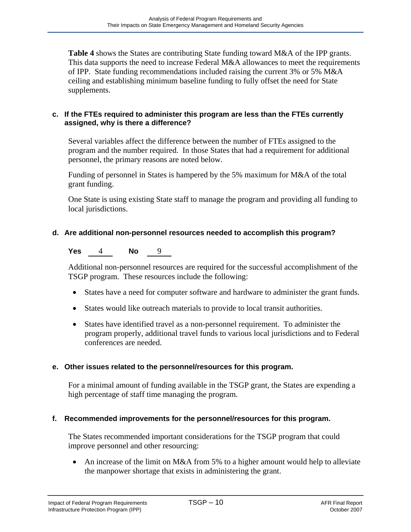**Table 4** shows the States are contributing State funding toward M&A of the IPP grants. This data supports the need to increase Federal M&A allowances to meet the requirements of IPP. State funding recommendations included raising the current 3% or 5% M&A ceiling and establishing minimum baseline funding to fully offset the need for State supplements.

### **c. If the FTEs required to administer this program are less than the FTEs currently assigned, why is there a difference?**

Several variables affect the difference between the number of FTEs assigned to the program and the number required. In those States that had a requirement for additional personnel, the primary reasons are noted below.

Funding of personnel in States is hampered by the 5% maximum for M&A of the total grant funding.

One State is using existing State staff to manage the program and providing all funding to local jurisdictions.

### **d. Are additional non-personnel resources needed to accomplish this program?**

**Yes** 4 **No** 9

Additional non-personnel resources are required for the successful accomplishment of the TSGP program. These resources include the following:

- States have a need for computer software and hardware to administer the grant funds.
- States would like outreach materials to provide to local transit authorities.
- States have identified travel as a non-personnel requirement. To administer the program properly, additional travel funds to various local jurisdictions and to Federal conferences are needed.

### **e. Other issues related to the personnel/resources for this program.**

For a minimal amount of funding available in the TSGP grant, the States are expending a high percentage of staff time managing the program.

### **f. Recommended improvements for the personnel/resources for this program.**

The States recommended important considerations for the TSGP program that could improve personnel and other resourcing:

• An increase of the limit on M&A from 5% to a higher amount would help to alleviate the manpower shortage that exists in administering the grant.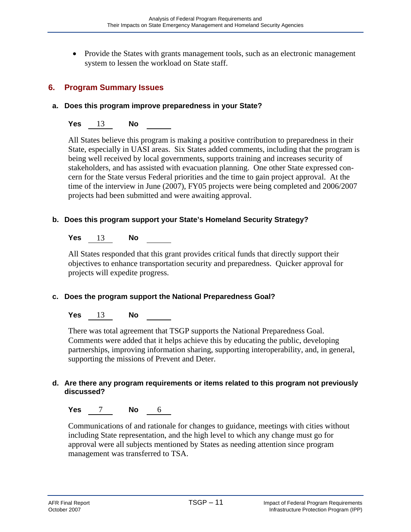• Provide the States with grants management tools, such as an electronic management system to lessen the workload on State staff.

### **6. Program Summary Issues**

### **a. Does this program improve preparedness in your State?**

### **Yes** 13 **No**

All States believe this program is making a positive contribution to preparedness in their State, especially in UASI areas. Six States added comments, including that the program is being well received by local governments, supports training and increases security of stakeholders, and has assisted with evacuation planning. One other State expressed concern for the State versus Federal priorities and the time to gain project approval. At the time of the interview in June (2007), FY05 projects were being completed and 2006/2007 projects had been submitted and were awaiting approval.

### **b. Does this program support your State's Homeland Security Strategy?**

### **Yes** 13 **No**

All States responded that this grant provides critical funds that directly support their objectives to enhance transportation security and preparedness. Quicker approval for projects will expedite progress.

### **c. Does the program support the National Preparedness Goal?**

### **Yes** 13 **No**

There was total agreement that TSGP supports the National Preparedness Goal. Comments were added that it helps achieve this by educating the public, developing partnerships, improving information sharing, supporting interoperability, and, in general, supporting the missions of Prevent and Deter.

### **d. Are there any program requirements or items related to this program not previously discussed?**

**Yes** 7 **No** 6

Communications of and rationale for changes to guidance, meetings with cities without including State representation, and the high level to which any change must go for approval were all subjects mentioned by States as needing attention since program management was transferred to TSA.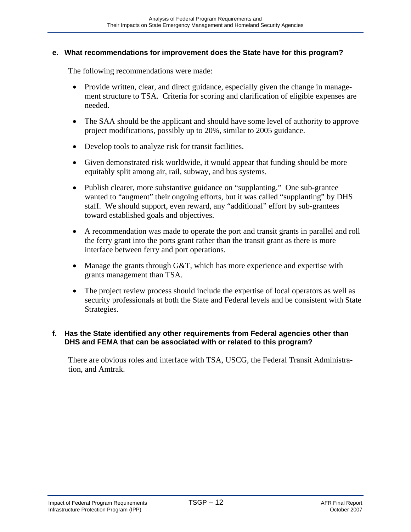#### **e. What recommendations for improvement does the State have for this program?**

The following recommendations were made:

- Provide written, clear, and direct guidance, especially given the change in management structure to TSA. Criteria for scoring and clarification of eligible expenses are needed.
- The SAA should be the applicant and should have some level of authority to approve project modifications, possibly up to 20%, similar to 2005 guidance.
- Develop tools to analyze risk for transit facilities.
- Given demonstrated risk worldwide, it would appear that funding should be more equitably split among air, rail, subway, and bus systems.
- Publish clearer, more substantive guidance on "supplanting." One sub-grantee wanted to "augment" their ongoing efforts, but it was called "supplanting" by DHS staff. We should support, even reward, any "additional" effort by sub-grantees toward established goals and objectives.
- A recommendation was made to operate the port and transit grants in parallel and roll the ferry grant into the ports grant rather than the transit grant as there is more interface between ferry and port operations.
- Manage the grants through G&T, which has more experience and expertise with grants management than TSA.
- The project review process should include the expertise of local operators as well as security professionals at both the State and Federal levels and be consistent with State Strategies.

### **f. Has the State identified any other requirements from Federal agencies other than DHS and FEMA that can be associated with or related to this program?**

There are obvious roles and interface with TSA, USCG, the Federal Transit Administration, and Amtrak.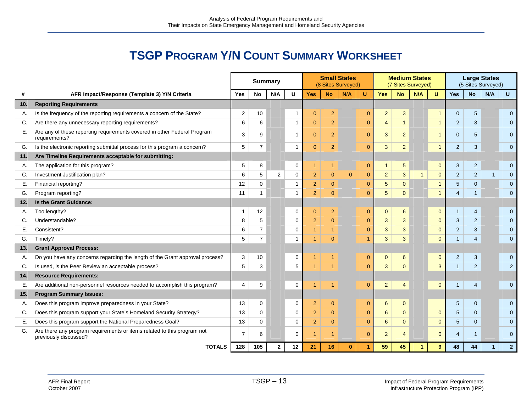# **TSGP PROGRAM Y/N COUNT SUMMARY WORKSHEET**

|     |                                                                                                  | <b>Summary</b> |                |                |                | <b>Small States</b><br>(8 Sites Surveyed) |                |              |                | <b>Medium States</b><br>(7 Sites Surveyed) |                |     |                | <b>Large States</b><br>(5 Sites Surveyed) |                |              |                |
|-----|--------------------------------------------------------------------------------------------------|----------------|----------------|----------------|----------------|-------------------------------------------|----------------|--------------|----------------|--------------------------------------------|----------------|-----|----------------|-------------------------------------------|----------------|--------------|----------------|
|     | AFR Impact/Response (Template 3) Y/N Criteria                                                    | <b>Yes</b>     | <b>No</b>      | N/A            | U              | <b>Yes</b>                                | <b>No</b>      | N/A          | U              | <b>Yes</b>                                 | <b>No</b>      | N/A | $\mathbf{U}$   | <b>Yes</b>                                | <b>No</b>      | N/A          | $\mathbf{U}$   |
| 10. | <b>Reporting Requirements</b>                                                                    |                |                |                |                |                                           |                |              |                |                                            |                |     |                |                                           |                |              |                |
| А.  | Is the frequency of the reporting requirements a concern of the State?                           | $\overline{2}$ | 10             |                | -1             | $\mathbf{0}$                              | $\overline{2}$ |              | $\pmb{0}$      | $\overline{2}$                             | 3              |     | $\mathbf{1}$   | $\mathbf{0}$                              | $\sqrt{5}$     |              | $\overline{0}$ |
| C.  | Are there any unnecessary reporting requirements?                                                | 6              | 6              |                | $\overline{1}$ | $\overline{0}$                            | $\overline{2}$ |              | $\mathbf{0}$   | $\overline{4}$                             |                |     | $\overline{1}$ | $\overline{2}$                            | 3              |              | $\mathbf{0}$   |
| Е.  | Are any of these reporting requirements covered in other Federal Program<br>requirements?        | 3              | 9              |                | -1             | $\mathbf{0}$                              | $\overline{2}$ | $\mathbf{0}$ |                | $\mathbf{3}$                               | $\overline{2}$ |     | $\mathbf{1}$   | $\mathbf{0}$                              | 5              |              | $\mathbf{0}$   |
| G.  | Is the electronic reporting submittal process for this program a concern?                        | 5              | $\overline{7}$ |                | -1             | $\mathbf{0}$                              | 2              |              | $\mathbf{0}$   | $\mathbf{3}$                               | $\overline{2}$ |     | $\overline{1}$ | $\overline{2}$                            | 3              |              | $\mathbf{0}$   |
| 11. | Are Timeline Requirements acceptable for submitting:                                             |                |                |                |                |                                           |                |              |                |                                            |                |     |                |                                           |                |              |                |
| А.  | The application for this program?                                                                |                | 8              |                | 0              | $\overline{1}$                            | 1              |              | $\mathbf 0$    | $\mathbf{1}$                               | 5              |     | $\mathbf{0}$   | $\mathbf{3}$                              | $\overline{2}$ |              | $\mathbf{0}$   |
| C.  | Investment Justification plan?                                                                   | 6              | 5              | $\overline{2}$ | $\mathbf 0$    | $\overline{2}$                            | $\mathbf{0}$   | $\Omega$     | $\mathbf{0}$   | $\overline{2}$                             | 3              | 1   | $\overline{0}$ | $\overline{2}$                            | $\overline{2}$ | $\mathbf{1}$ | $\mathbf 0$    |
| Е.  | Financial reporting?                                                                             | 12             | 0              |                |                | $\overline{2}$                            | $\overline{0}$ |              | $\mathbf{0}$   | $\overline{5}$                             | $\overline{0}$ |     | $\mathbf{1}$   | 5                                         | $\mathbf{0}$   |              | $\overline{0}$ |
| G.  | Program reporting?                                                                               |                | 1              |                |                | $\overline{2}$                            | $\Omega$       |              | $\overline{0}$ | $5\phantom{.0}$                            | $\Omega$       |     |                | $\overline{4}$                            |                |              | $\Omega$       |
| 12. | Is the Grant Guidance:                                                                           |                |                |                |                |                                           |                |              |                |                                            |                |     |                |                                           |                |              |                |
| А.  | Too lengthy?                                                                                     | 1              | 12             |                | 0              | $\mathbf{0}$                              | $\overline{2}$ |              | $\mathbf{0}$   | $\mathbf{0}$                               | 6              |     | $\mathbf 0$    | 1                                         | 4              |              | $\mathbf{0}$   |
| C.  | Understandable?                                                                                  | 8              | 5              |                | $\mathbf 0$    | $\overline{2}$                            | $\Omega$       |              | $\mathbf{0}$   | $\mathbf{3}$                               | 3              |     | $\Omega$       | 3                                         | $\overline{2}$ |              | $\Omega$       |
| Е.  | Consistent?                                                                                      |                | $\overline{7}$ |                | 0              | $\overline{1}$                            |                |              | $\mathbf{0}$   | 3                                          | 3              |     | $\mathbf{0}$   | $\overline{2}$                            | 3              |              | $\Omega$       |
| G.  | Timely?                                                                                          |                | $\overline{7}$ |                |                | 1                                         | $\Omega$       |              | 1              | 3                                          | 3              |     | $\Omega$       | $\mathbf{1}$                              | 4              |              | $\Omega$       |
| 13. | <b>Grant Approval Process:</b>                                                                   |                |                |                |                |                                           |                |              |                |                                            |                |     |                |                                           |                |              |                |
| А.  | Do you have any concerns regarding the length of the Grant approval process?                     | 3              | 10             |                | 0              | 1                                         |                |              | $\mathbf{0}$   | $\overline{0}$                             | 6              |     | $\mathbf{0}$   | $\overline{2}$                            | 3              |              | $\mathbf 0$    |
| C.  | Is used, is the Peer Review an acceptable process?                                               | $\sqrt{5}$     | $\mathsf 3$    |                | 5              | $\overline{1}$                            |                |              | $\pmb{0}$      | $\overline{3}$                             | $\overline{0}$ |     | $\mathbf{3}$   | $\mathbf{1}$                              | $\sqrt{2}$     |              | $\overline{2}$ |
| 14. | <b>Resource Requirements:</b>                                                                    |                |                |                |                |                                           |                |              |                |                                            |                |     |                |                                           |                |              |                |
| Е.  | Are additional non-personnel resources needed to accomplish this program?                        |                | 9              |                | $\mathbf 0$    | 1                                         |                |              | $\pmb{0}$      | $\overline{2}$                             | $\overline{4}$ |     | $\mathbf{0}$   |                                           | $\overline{4}$ |              | $\overline{0}$ |
| 15. | <b>Program Summary Issues:</b>                                                                   |                |                |                |                |                                           |                |              |                |                                            |                |     |                |                                           |                |              |                |
| А.  | Does this program improve preparedness in your State?                                            | 13             | 0              |                | $\mathbf 0$    | $\overline{2}$                            | $\overline{0}$ |              | $\mathbf{0}$   | 6                                          | $\mathbf{0}$   |     |                | 5                                         | $\mathbf{0}$   |              | $\overline{0}$ |
| C.  | Does this program support your State's Homeland Security Strategy?                               | 13             | $\mathbf 0$    |                | 0              | $\overline{2}$                            | $\overline{0}$ |              | $\mathbf{0}$   | $6\overline{6}$                            | $\Omega$       |     | $\mathbf{0}$   | 5                                         | $\Omega$       |              | $\Omega$       |
| Е.  | Does this program support the National Preparedness Goal?                                        | 13             | $\Omega$       |                | $\Omega$       | 2                                         | $\Omega$       |              | $\mathbf{0}$   | 6                                          | $\Omega$       |     | $\Omega$       | 5                                         | $\Omega$       |              | $\Omega$       |
| G.  | Are there any program requirements or items related to this program not<br>previously discussed? |                | 6              |                | $\Omega$       | 1                                         | 1              |              | $\mathbf{0}$   | $\overline{2}$                             | 4              |     | $\Omega$       | $\overline{4}$                            | $\mathbf{1}$   |              | $\Omega$       |
|     | <b>TOTALS</b>                                                                                    |                |                | $\mathbf{2}$   | 12             | 21                                        | 16             | $\bf{0}$     | 1              | 59                                         | 45             |     | 9              | 48                                        | 44             | $\mathbf{1}$ | $\overline{2}$ |